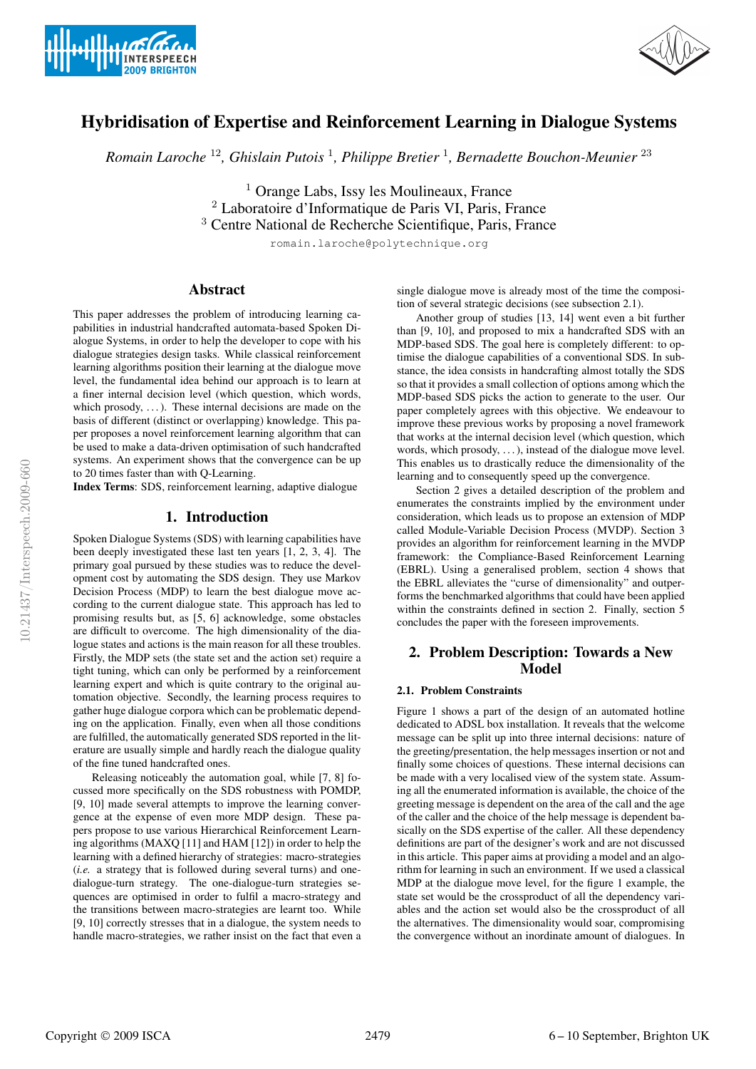



# Hybridisation of Expertise and Reinforcement Learning in Dialogue Systems

*Romain Laroche* <sup>12</sup>*, Ghislain Putois* <sup>1</sup> *, Philippe Bretier* <sup>1</sup> *, Bernadette Bouchon-Meunier* <sup>23</sup>

 $<sup>1</sup>$  Orange Labs, Issy les Moulineaux, France</sup> <sup>2</sup> Laboratoire d'Informatique de Paris VI, Paris, France <sup>3</sup> Centre National de Recherche Scientifique, Paris, France

romain.laroche@polytechnique.org

# Abstract

This paper addresses the problem of introducing learning capabilities in industrial handcrafted automata-based Spoken Dialogue Systems, in order to help the developer to cope with his dialogue strategies design tasks. While classical reinforcement learning algorithms position their learning at the dialogue move level, the fundamental idea behind our approach is to learn at a finer internal decision level (which question, which words, which prosody,  $\dots$ ). These internal decisions are made on the basis of different (distinct or overlapping) knowledge. This paper proposes a novel reinforcement learning algorithm that can be used to make a data-driven optimisation of such handcrafted systems. An experiment shows that the convergence can be up to 20 times faster than with Q-Learning.

Index Terms: SDS, reinforcement learning, adaptive dialogue

# 1. Introduction

Spoken Dialogue Systems (SDS) with learning capabilities have been deeply investigated these last ten years [1, 2, 3, 4]. The primary goal pursued by these studies was to reduce the development cost by automating the SDS design. They use Markov Decision Process (MDP) to learn the best dialogue move according to the current dialogue state. This approach has led to promising results but, as [5, 6] acknowledge, some obstacles are difficult to overcome. The high dimensionality of the dialogue states and actions is the main reason for all these troubles. Firstly, the MDP sets (the state set and the action set) require a tight tuning, which can only be performed by a reinforcement learning expert and which is quite contrary to the original automation objective. Secondly, the learning process requires to gather huge dialogue corpora which can be problematic depending on the application. Finally, even when all those conditions are fulfilled, the automatically generated SDS reported in the literature are usually simple and hardly reach the dialogue quality of the fine tuned handcrafted ones.

Releasing noticeably the automation goal, while [7, 8] focussed more specifically on the SDS robustness with POMDP, [9, 10] made several attempts to improve the learning convergence at the expense of even more MDP design. These papers propose to use various Hierarchical Reinforcement Learning algorithms (MAXQ [11] and HAM [12]) in order to help the learning with a defined hierarchy of strategies: macro-strategies (*i.e.* a strategy that is followed during several turns) and onedialogue-turn strategy. The one-dialogue-turn strategies sequences are optimised in order to fulfil a macro-strategy and the transitions between macro-strategies are learnt too. While [9, 10] correctly stresses that in a dialogue, the system needs to handle macro-strategies, we rather insist on the fact that even a single dialogue move is already most of the time the composition of several strategic decisions (see subsection 2.1).

Another group of studies [13, 14] went even a bit further than [9, 10], and proposed to mix a handcrafted SDS with an MDP-based SDS. The goal here is completely different: to optimise the dialogue capabilities of a conventional SDS. In substance, the idea consists in handcrafting almost totally the SDS so that it provides a small collection of options among which the MDP-based SDS picks the action to generate to the user. Our paper completely agrees with this objective. We endeavour to improve these previous works by proposing a novel framework that works at the internal decision level (which question, which words, which prosody, . . . ), instead of the dialogue move level. This enables us to drastically reduce the dimensionality of the learning and to consequently speed up the convergence.

Section 2 gives a detailed description of the problem and enumerates the constraints implied by the environment under consideration, which leads us to propose an extension of MDP called Module-Variable Decision Process (MVDP). Section 3 provides an algorithm for reinforcement learning in the MVDP framework: the Compliance-Based Reinforcement Learning (EBRL). Using a generalised problem, section 4 shows that the EBRL alleviates the "curse of dimensionality" and outperforms the benchmarked algorithms that could have been applied within the constraints defined in section 2. Finally, section 5 concludes the paper with the foreseen improvements.

# 2. Problem Description: Towards a New Model

### 2.1. Problem Constraints

Figure 1 shows a part of the design of an automated hotline dedicated to ADSL box installation. It reveals that the welcome message can be split up into three internal decisions: nature of the greeting/presentation, the help messages insertion or not and finally some choices of questions. These internal decisions can be made with a very localised view of the system state. Assuming all the enumerated information is available, the choice of the greeting message is dependent on the area of the call and the age of the caller and the choice of the help message is dependent basically on the SDS expertise of the caller. All these dependency definitions are part of the designer's work and are not discussed in this article. This paper aims at providing a model and an algorithm for learning in such an environment. If we used a classical MDP at the dialogue move level, for the figure 1 example, the state set would be the crossproduct of all the dependency variables and the action set would also be the crossproduct of all the alternatives. The dimensionality would soar, compromising the convergence without an inordinate amount of dialogues. In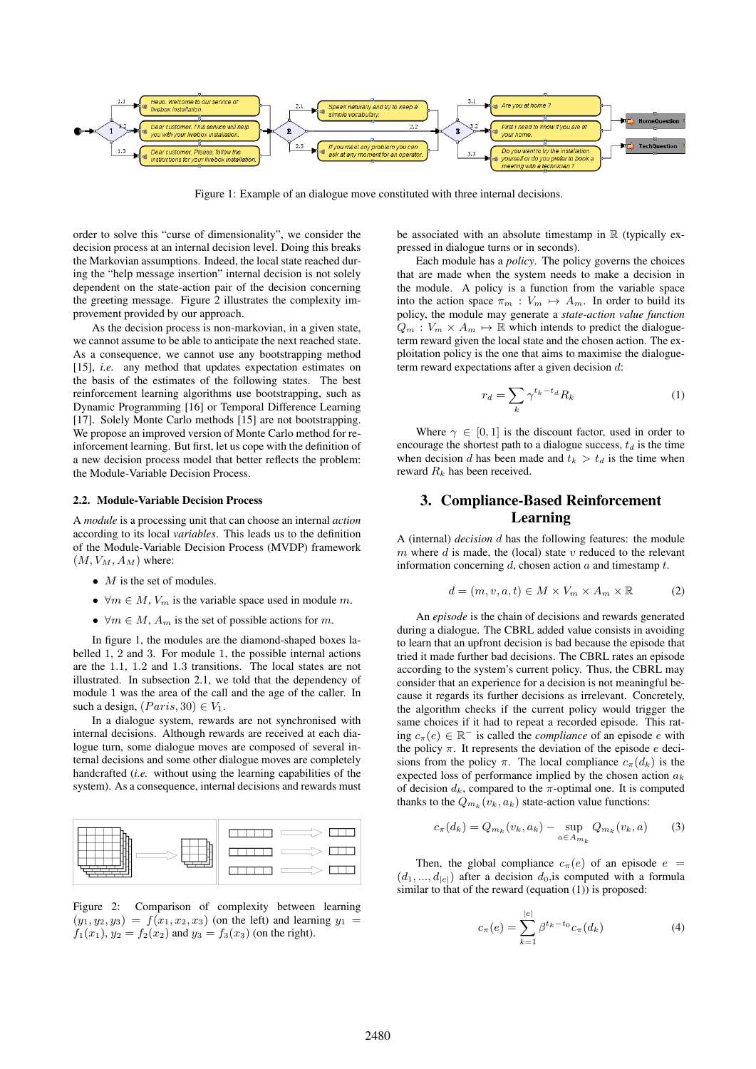

Figure 1: Example of an dialogue move constituted with three internal decisions.

order to solve this "curse of dimensionality", we consider the decision process at an internal decision level. Doing this breaks the Markovian assumptions. Indeed, the local state reached during the "help message insertion" internal decision is not solely dependent on the state-action pair of the decision concerning the greeting message. Figure 2 illustrates the complexity improvement provided by our approach.

As the decision process is non-markovian, in a given state, we cannot assume to be able to anticipate the next reached state. As a consequence, we cannot use any bootstrapping method [15], *i.e.* any method that updates expectation estimates on the basis of the estimates of the following states. The best reinforcement learning algorithms use bootstrapping, such as Dynamic Programming [16] or Temporal Difference Learning [17]. Solely Monte Carlo methods [15] are not bootstrapping. We propose an improved version of Monte Carlo method for reinforcement learning. But first, let us cope with the definition of a new decision process model that better reflects the problem: the Module-Variable Decision Process.

#### 2.2. Module-Variable Decision Process

A *module* is a processing unit that can choose an internal *action* according to its local *variables*. This leads us to the definition of the Module-Variable Decision Process (MVDP) framework  $(M, V_M, A_M)$  where:

- $M$  is the set of modules.
- $\forall m \in M$ ,  $V_m$  is the variable space used in module m.
- $\forall m \in M$ ,  $A_m$  is the set of possible actions for m.

In figure 1, the modules are the diamond-shaped boxes labelled 1, 2 and 3. For module 1, the possible internal actions are the 1.1, 1.2 and 1.3 transitions. The local states are not illustrated. In subsection 2.1, we told that the dependency of module 1 was the area of the call and the age of the caller. In such a design,  $(Paris, 30) \in V_1$ .

In a dialogue system, rewards are not synchronised with internal decisions. Although rewards are received at each dialogue turn, some dialogue moves are composed of several internal decisions and some other dialogue moves are completely handcrafted (*i.e.* without using the learning capabilities of the system). As a consequence, internal decisions and rewards must



Figure 2: Comparison of complexity between learning  $(y_1, y_2, y_3) = f(x_1, x_2, x_3)$  (on the left) and learning  $y_1 =$  $f_1(x_1)$ ,  $y_2 = f_2(x_2)$  and  $y_3 = f_3(x_3)$  (on the right).

be associated with an absolute timestamp in  $\mathbb R$  (typically expressed in dialogue turns or in seconds).

Each module has a *policy*. The policy governs the choices that are made when the system needs to make a decision in the module. A policy is a function from the variable space into the action space  $\pi_m : V_m \mapsto A_m$ . In order to build its policy, the module may generate a *state-action value function*  $Q_m : V_m \times A_m \mapsto \mathbb{R}$  which intends to predict the dialogueterm reward given the local state and the chosen action. The exploitation policy is the one that aims to maximise the dialogueterm reward expectations after a given decision d:

$$
r_d = \sum_k \gamma^{t_k - t_d} R_k \tag{1}
$$

Where  $\gamma \in [0, 1]$  is the discount factor, used in order to encourage the shortest path to a dialogue success,  $t_d$  is the time when decision d has been made and  $t_k > t_d$  is the time when reward  $R_k$  has been received.

# 3. Compliance-Based Reinforcement Learning

A (internal) *decision* d has the following features: the module m where  $d$  is made, the (local) state  $v$  reduced to the relevant information concerning  $d$ , chosen action  $a$  and timestamp  $t$ .

$$
d = (m, v, a, t) \in M \times V_m \times A_m \times \mathbb{R}
$$
 (2)

An *episode* is the chain of decisions and rewards generated during a dialogue. The CBRL added value consists in avoiding to learn that an upfront decision is bad because the episode that tried it made further bad decisions. The CBRL rates an episode according to the system's current policy. Thus, the CBRL may consider that an experience for a decision is not meaningful because it regards its further decisions as irrelevant. Concretely, the algorithm checks if the current policy would trigger the same choices if it had to repeat a recorded episode. This rating  $c_{\pi}(e) \in \mathbb{R}^-$  is called the *compliance* of an episode e with the policy  $\pi$ . It represents the deviation of the episode e decisions from the policy  $\pi$ . The local compliance  $c_{\pi}(d_k)$  is the expected loss of performance implied by the chosen action  $a_k$ of decision  $d_k$ , compared to the  $\pi$ -optimal one. It is computed thanks to the  $Q_{m_k}(v_k, a_k)$  state-action value functions:

$$
c_{\pi}(d_k) = Q_{m_k}(v_k, a_k) - \sup_{a \in A_{m_k}} Q_{m_k}(v_k, a)
$$
 (3)

Then, the global compliance  $c_{\pi}(e)$  of an episode  $e =$  $(d_1, ..., d_{|e|})$  after a decision  $d_0$ , is computed with a formula similar to that of the reward (equation (1)) is proposed:

$$
c_{\pi}(e) = \sum_{k=1}^{|e|} \beta^{t_k - t_0} c_{\pi}(d_k)
$$
 (4)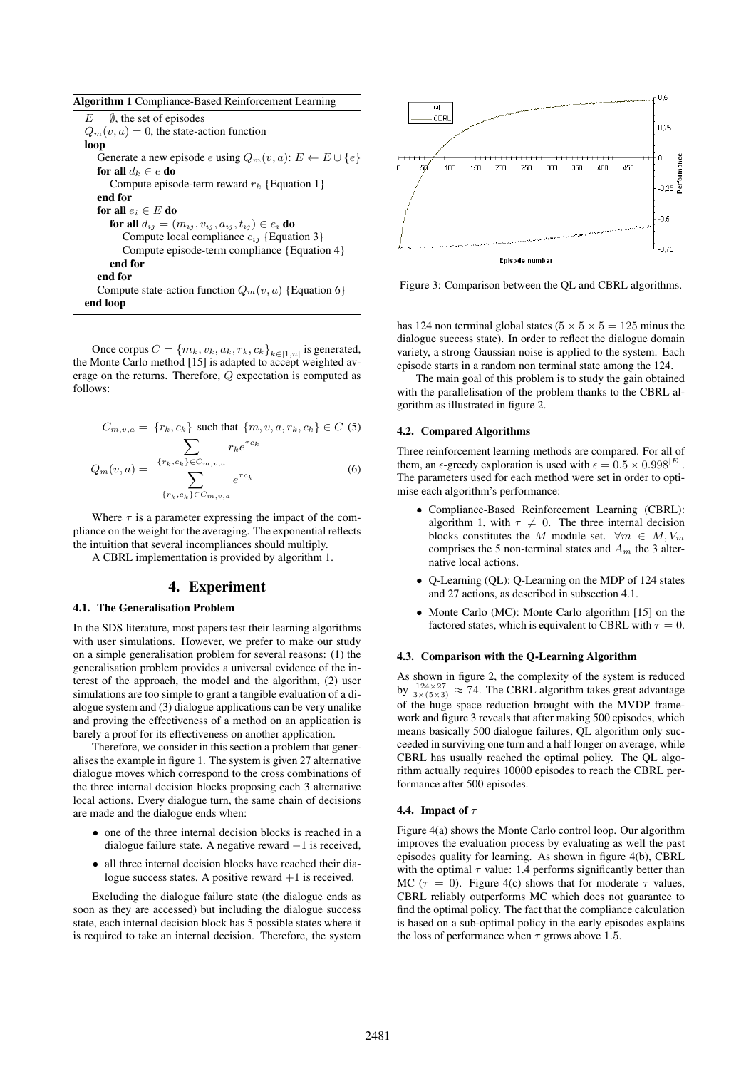|  |  |  | Algorithm 1 Compliance-Based Reinforcement Learning |  |
|--|--|--|-----------------------------------------------------|--|
|--|--|--|-----------------------------------------------------|--|

 $E = \emptyset$ , the set of episodes  $Q_m(v, a) = 0$ , the state-action function loop Generate a new episode  $e$  using  $Q_m(v,a)\colon E\leftarrow E\cup \{e\}$ for all  $d_k \in e$  do Compute episode-term reward  $r_k$  {Equation 1} end for for all  $e_i \in E$  do for all  $d_{ij} = (m_{ij}, v_{ij}, a_{ij}, t_{ij}) \in e_i$  do Compute local compliance  $c_{ij}$  {Equation 3} Compute episode-term compliance {Equation 4} end for end for Compute state-action function  $Q_m(v, a)$  {Equation 6} end loop

Once corpus  $C = \{m_k, v_k, a_k, r_k, c_k\}_{k \in [1,n]}$  is generated, the Monte Carlo method [15] is adapted to accept weighted average on the returns. Therefore, Q expectation is computed as follows:

$$
C_{m,v,a} = \{r_k, c_k\} \text{ such that } \{m, v, a, r_k, c_k\} \in C \text{ (5)}
$$
\n
$$
Q_m(v,a) = \frac{\sum_{\{r_k, c_k\} \in C_{m,v,a}} r_k e^{\tau c_k}}{\sum_{\{r_k, c_k\} \in C_{m,v,a}} e^{\tau c_k}}
$$
\n(6)

Where  $\tau$  is a parameter expressing the impact of the compliance on the weight for the averaging. The exponential reflects the intuition that several incompliances should multiply.

A CBRL implementation is provided by algorithm 1.

#### 4. Experiment

#### 4.1. The Generalisation Problem

In the SDS literature, most papers test their learning algorithms with user simulations. However, we prefer to make our study on a simple generalisation problem for several reasons: (1) the generalisation problem provides a universal evidence of the interest of the approach, the model and the algorithm, (2) user simulations are too simple to grant a tangible evaluation of a dialogue system and (3) dialogue applications can be very unalike and proving the effectiveness of a method on an application is barely a proof for its effectiveness on another application.

Therefore, we consider in this section a problem that generalises the example in figure 1. The system is given 27 alternative dialogue moves which correspond to the cross combinations of the three internal decision blocks proposing each 3 alternative local actions. Every dialogue turn, the same chain of decisions are made and the dialogue ends when:

- one of the three internal decision blocks is reached in a dialogue failure state. A negative reward −1 is received,
- all three internal decision blocks have reached their dialogue success states. A positive reward  $+1$  is received.

Excluding the dialogue failure state (the dialogue ends as soon as they are accessed) but including the dialogue success state, each internal decision block has 5 possible states where it is required to take an internal decision. Therefore, the system



Figure 3: Comparison between the QL and CBRL algorithms.

has 124 non terminal global states ( $5 \times 5 \times 5 = 125$  minus the dialogue success state). In order to reflect the dialogue domain variety, a strong Gaussian noise is applied to the system. Each episode starts in a random non terminal state among the 124.

The main goal of this problem is to study the gain obtained with the parallelisation of the problem thanks to the CBRL algorithm as illustrated in figure 2.

#### 4.2. Compared Algorithms

Three reinforcement learning methods are compared. For all of them, an  $\epsilon$ -greedy exploration is used with  $\epsilon = 0.5 \times 0.998^{|E|}$ . The parameters used for each method were set in order to optimise each algorithm's performance:

- Compliance-Based Reinforcement Learning (CBRL): algorithm 1, with  $\tau \neq 0$ . The three internal decision blocks constitutes the M module set.  $\forall m \in M, V_m$ comprises the 5 non-terminal states and  $A_m$  the 3 alternative local actions.
- Q-Learning (QL): Q-Learning on the MDP of 124 states and 27 actions, as described in subsection 4.1.
- Monte Carlo (MC): Monte Carlo algorithm [15] on the factored states, which is equivalent to CBRL with  $\tau = 0$ .

#### 4.3. Comparison with the Q-Learning Algorithm

As shown in figure 2, the complexity of the system is reduced by  $\frac{124\times27}{3\times(5\times3)} \approx 74$ . The CBRL algorithm takes great advantage of the huge space reduction brought with the MVDP framework and figure 3 reveals that after making 500 episodes, which means basically 500 dialogue failures, QL algorithm only succeeded in surviving one turn and a half longer on average, while CBRL has usually reached the optimal policy. The QL algorithm actually requires 10000 episodes to reach the CBRL performance after 500 episodes.

#### 4.4. Impact of  $\tau$

Figure 4(a) shows the Monte Carlo control loop. Our algorithm improves the evaluation process by evaluating as well the past episodes quality for learning. As shown in figure 4(b), CBRL with the optimal  $\tau$  value: 1.4 performs significantly better than MC ( $\tau = 0$ ). Figure 4(c) shows that for moderate  $\tau$  values, CBRL reliably outperforms MC which does not guarantee to find the optimal policy. The fact that the compliance calculation is based on a sub-optimal policy in the early episodes explains the loss of performance when  $\tau$  grows above 1.5.